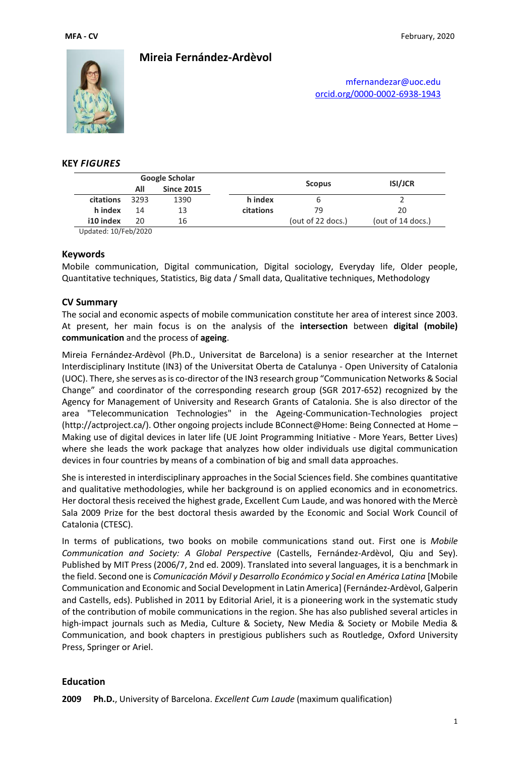

# **Mireia Fernández-Ardèvol**

[mfernandezar@uoc.edu](mailto:mfernandezar@uoc.edu) [orcid.org/0000-0002-6938-1943](file:///C:/Users/mfernandezar/Dropbox/CV_MFA/orcid.org/0000-0002-6938-1943)

### **KEY** *FIGURES*

| Google Scholar        |      |                   |           |                   |                   |  |
|-----------------------|------|-------------------|-----------|-------------------|-------------------|--|
|                       | All  | <b>Since 2015</b> |           | <b>Scopus</b>     | <b>ISI/JCR</b>    |  |
| citations             | 3293 | 1390              | h index   |                   |                   |  |
| h index               | 14   | 13                | citations | 79                | 20                |  |
| i10 index             | 20   | 16                |           | (out of 22 docs.) | (out of 14 docs.) |  |
| $1.1.1.1.01 - 1.0000$ |      |                   |           |                   |                   |  |

Updated: 10/Feb/2020

#### **Keywords**

Mobile communication, Digital communication, Digital sociology, Everyday life, Older people, Quantitative techniques, Statistics, Big data / Small data, Qualitative techniques, Methodology

## **CV Summary**

The social and economic aspects of mobile communication constitute her area of interest since 2003. At present, her main focus is on the analysis of the **intersection** between **digital (mobile) communication** and the process of **ageing**.

Mireia Fernández-Ardèvol (Ph.D., Universitat de Barcelona) is a senior researcher at the Internet Interdisciplinary Institute (IN3) of the Universitat Oberta de Catalunya - Open University of Catalonia (UOC). There, she serves asis co-director of the IN3 research group "Communication Networks & Social Change" and coordinator of the corresponding research group (SGR 2017-652) recognized by the Agency for Management of University and Research Grants of Catalonia. She is also director of the area "Telecommunication Technologies" in the Ageing-Communication-Technologies project (http://actproject.ca/). Other ongoing projects include BConnect@Home: Being Connected at Home – Making use of digital devices in later life (UE Joint Programming Initiative - More Years, Better Lives) where she leads the work package that analyzes how older individuals use digital communication devices in four countries by means of a combination of big and small data approaches.

She is interested in interdisciplinary approaches in the Social Sciences field. She combines quantitative and qualitative methodologies, while her background is on applied economics and in econometrics. Her doctoral thesis received the highest grade, Excellent Cum Laude, and was honored with the Mercè Sala 2009 Prize for the best doctoral thesis awarded by the Economic and Social Work Council of Catalonia (CTESC).

In terms of publications, two books on mobile communications stand out. First one is *Mobile Communication and Society: A Global Perspective* (Castells, Fernández-Ardèvol, Qiu and Sey). Published by MIT Press (2006/7, 2nd ed. 2009). Translated into several languages, it is a benchmark in the field. Second one is *Comunicación Móvil y Desarrollo Económico y Social en América Latina* [Mobile Communication and Economic and Social Development in Latin America] (Fernández-Ardèvol, Galperin and Castells, eds). Published in 2011 by Editorial Ariel, it is a pioneering work in the systematic study of the contribution of mobile communications in the region. She has also published several articles in high-impact journals such as Media, Culture & Society, New Media & Society or Mobile Media & Communication, and book chapters in prestigious publishers such as Routledge, Oxford University Press, Springer or Ariel.

## **Education**

**2009 Ph.D.**, University of Barcelona. *Excellent Cum Laude* (maximum qualification)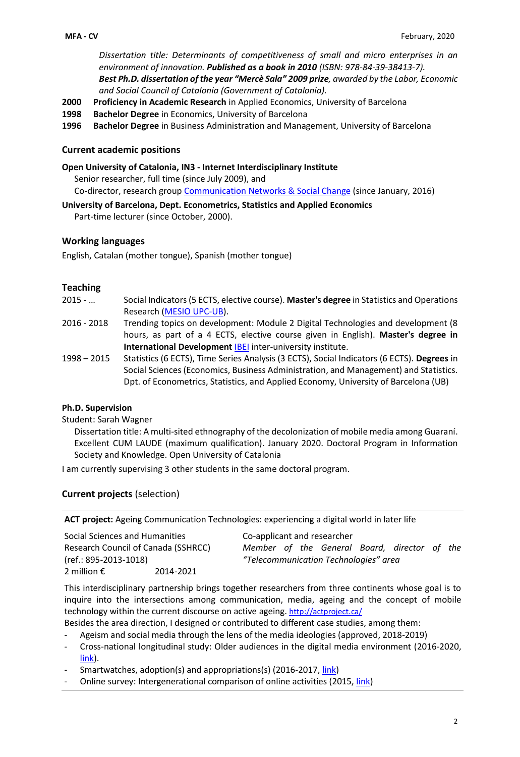*Dissertation title: Determinants of competitiveness of small and micro enterprises in an environment of innovation. Published as a book in 2010 (ISBN: 978-84-39-38413-7). Best Ph.D. dissertation of the year "Mercè Sala" 2009 prize, awarded by the Labor, Economic and Social Council of Catalonia (Government of Catalonia).* 

- **2000 Proficiency in Academic Research** in Applied Economics, University of Barcelona
- **1998 Bachelor Degree** in Economics, University of Barcelona
- **1996 Bachelor Degree** in Business Administration and Management, University of Barcelona

### **Current academic positions**

**Open University of Catalonia, IN3 - Internet Interdisciplinary Institute**

Senior researcher, full time (since July 2009), and

Co-director, research group [Communication Networks &](http://www.communicationchange.net/en/about-us/) Social Change (since January, 2016)

**University of Barcelona, Dept. Econometrics, Statistics and Applied Economics**

Part-time lecturer (since October, 2000).

#### **Working languages**

English, Catalan (mother tongue), Spanish (mother tongue)

#### **Teaching**

- 2015 … Social Indicators (5 ECTS, elective course). **Master's degree** in Statistics and Operations Research [\(MESIO UPC-UB\)](https://mesioupcub.masters.upc.edu/en).
- 2016 2018 Trending topics on development: Module 2 Digital Technologies and development (8 hours, as part of a 4 ECTS, elective course given in English). **Master's degree in International Development** [IBEI](https://www.ibei.org/en/) inter-university institute.
- 1998 2015 Statistics (6 ECTS), Time Series Analysis (3 ECTS), Social Indicators (6 ECTS). **Degrees** in Social Sciences (Economics, Business Administration, and Management) and Statistics. Dpt. of Econometrics, Statistics, and Applied Economy, University of Barcelona (UB)

## **Ph.D. Supervision**

Student: Sarah Wagner

Dissertation title: A multi-sited ethnography of the decolonization of mobile media among Guaraní. Excellent CUM LAUDE (maximum qualification). January 2020. Doctoral Program in Information Society and Knowledge. Open University of Catalonia

I am currently supervising 3 other students in the same doctoral program.

## **Current projects** (selection)

**ACT project:** Ageing Communication Technologies: experiencing a digital world in later life

| Social Sciences and Humanities      |           | Co-applicant and researcher |  |  |                                       |  |                                              |  |  |
|-------------------------------------|-----------|-----------------------------|--|--|---------------------------------------|--|----------------------------------------------|--|--|
| Research Council of Canada (SSHRCC) |           |                             |  |  |                                       |  | Member of the General Board, director of the |  |  |
| (ref.: 895-2013-1018)               |           |                             |  |  | "Telecommunication Technologies" area |  |                                              |  |  |
| 2 million $\epsilon$                | 2014-2021 |                             |  |  |                                       |  |                                              |  |  |

This interdisciplinary partnership brings together researchers from three continents whose goal is to inquire into the intersections among communication, media, ageing and the concept of mobile technology within the current discourse on active ageing. <http://actproject.ca/>

Besides the area direction, I designed or contributed to different case studies, among them:

- Ageism and social media through the lens of the media ideologies (approved, 2018-2019)
- Cross-national longitudinal study: Older audiences in the digital media environment (2016-2020, [link\)](http://actproject.ca/act/cross-national-longitudinal-study/).
- Smartwatches, adoption(s) and appropriations(s) (2016-2017, [link\)](http://actproject.ca/act/smart-watches-adoptions-and-appropriations/)
- Online survey: Intergenerational comparison of online activities (2015, [link\)](http://actproject.ca/act/intergenerationalcomparison/)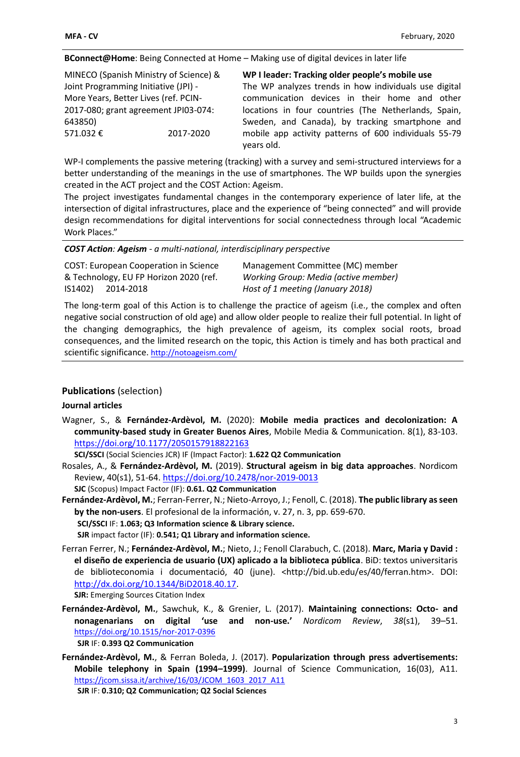**BConnect@Home**: Being Connected at Home – Making use of digital devices in later life

|                                      | MINECO (Spanish Ministry of Science) & | WP I leader: Tracking older people's mobile use                     |
|--------------------------------------|----------------------------------------|---------------------------------------------------------------------|
| Joint Programming Initiative (JPI) - |                                        | The WP analyzes trends in how individuals use digital               |
| More Years, Better Lives (ref. PCIN- |                                        | communication devices in their home and other                       |
|                                      | 2017-080; grant agreement JPI03-074:   | locations in four countries (The Netherlands, Spain,                |
| 643850)                              |                                        | Sweden, and Canada), by tracking smartphone and                     |
| 571.032€                             | 2017-2020                              | mobile app activity patterns of 600 individuals 55-79<br>years old. |

WP-I complements the passive metering (tracking) with a survey and semi-structured interviews for a better understanding of the meanings in the use of smartphones. The WP builds upon the synergies created in the ACT project and the COST Action: Ageism.

The project investigates fundamental changes in the contemporary experience of later life, at the intersection of digital infrastructures, place and the experience of "being connected" and will provide design recommendations for digital interventions for social connectedness through local "Academic Work Places."

*COST Action: Ageism - a multi-national, interdisciplinary perspective*

| <b>COST: European Cooperation in Science</b> | Management Committee (MC) member     |
|----------------------------------------------|--------------------------------------|
| & Technology, EU FP Horizon 2020 (ref.       | Working Group: Media (active member) |
| IS1402) 2014-2018                            | Host of 1 meeting (January 2018)     |

The long-term goal of this Action is to challenge the practice of ageism (i.e., the complex and often negative social construction of old age) and allow older people to realize their full potential. In light of the changing demographics, the high prevalence of ageism, its complex social roots, broad consequences, and the limited research on the topic, this Action is timely and has both practical and scientific significance. <http://notoageism.com/>

# **Publications** (selection)

## **Journal articles**

Wagner, S., & **Fernández-Ardèvol, M.** (2020): **Mobile media practices and decolonization: A community-based study in Greater Buenos Aires**, Mobile Media & Communication. 8(1), 83-103. <https://doi.org/10.1177/2050157918822163>

**SCI/SSCI** (Social Sciencies JCR) IF (Impact Factor): **1.622 Q2 Communication**

Rosales, A., & **Fernández-Ardèvol, M.** (2019). **Structural ageism in big data approaches**. Nordicom Review, 40(s1), 51-64[. https://doi.org/10.2478/nor-2019-0013](https://doi.org/10.2478/nor-2019-0013)

**SJC** (Scopus) Impact Factor (IF): **0.61. Q2 Communication**

**Fernández-Ardèvol, M.**; Ferran-Ferrer, N.; Nieto-Arroyo, J.; Fenoll, C. (2018). **The public library as seen by the non-users**. El profesional de la información, v. 27, n. 3, pp. 659-670.

**SCI/SSCI** IF: **1.063; Q3 Information science & Library science.** 

**SJR** impact factor (IF): **0.541; Q1 Library and information science.** 

Ferran Ferrer, N.; **Fernández-Ardèvol, M.**; Nieto, J.; Fenoll Clarabuch, C. (2018). **Marc, Maria y David : el diseño de experiencia de usuario (UX) aplicado a la biblioteca pública**. BiD: textos universitaris de biblioteconomia i documentació, 40 (june). <http://bid.ub.edu/es/40/ferran.htm>. DOI: [http://dx.doi.org/10.1344/BiD2018.40.17.](http://dx.doi.org/10.1344/BiD2018.40.17)

**SJR:** Emerging Sources Citation Index

**Fernández-Ardèvol, M.**, Sawchuk, K., & Grenier, L. (2017). **Maintaining connections: Octo- and nonagenarians on digital 'use and non-use.'** *Nordicom Review*, *38*(s1), 39–51. <https://doi.org/10.1515/nor-2017-0396>

**SJR** IF: **0.393 Q2 Communication**

**Fernández-Ardèvol, M.**, & Ferran Boleda, J. (2017). **Popularization through press advertisements: Mobile telephony in Spain (1994–1999)**. Journal of Science Communication, 16(03), A11. [https://jcom.sissa.it/archive/16/03/JCOM\\_1603\\_2017\\_A11](https://jcom.sissa.it/archive/16/03/JCOM_1603_2017_A11) **SJR** IF: **0.310; Q2 Communication; Q2 Social Sciences**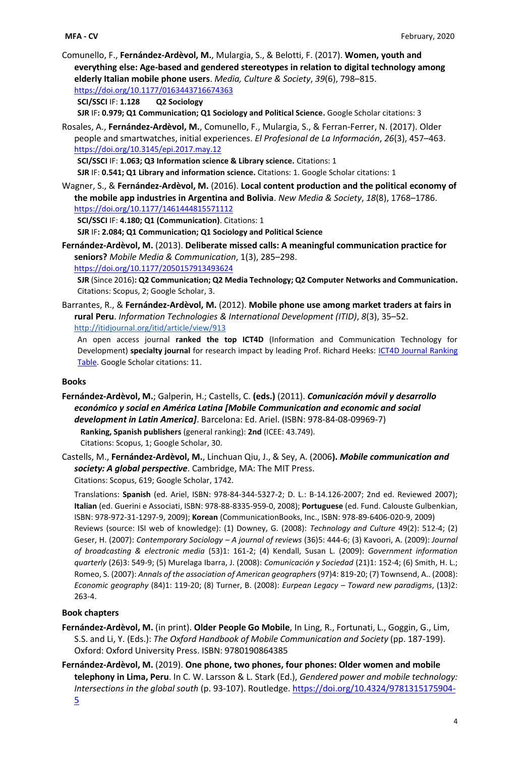Comunello, F., **Fernández-Ardèvol, M.**, Mulargia, S., & Belotti, F. (2017). **Women, youth and everything else: Age-based and gendered stereotypes in relation to digital technology among elderly Italian mobile phone users**. *Media, Culture & Society*, *39*(6), 798–815. <https://doi.org/10.1177/0163443716674363>

**SCI/SSCI** IF: **1.128 Q2 Sociology**

**SJR** IF**: 0.979; Q1 Communication; Q1 Sociology and Political Science.** Google Scholar citations: 3

Rosales, A., **Fernández-Ardèvol, M.**, Comunello, F., Mulargia, S., & Ferran-Ferrer, N. (2017). Older people and smartwatches, initial experiences. *El Profesional de La Información*, *26*(3), 457–463. <https://doi.org/10.3145/epi.2017.may.12>

**SCI/SSCI** IF: **1.063; Q3 Information science & Library science.** Citations: 1

**SJR** IF: **0.541; Q1 Library and information science.** Citations: 1. Google Scholar citations: 1

Wagner, S., & **Fernández-Ardèvol, M.** (2016). **Local content production and the political economy of the mobile app industries in Argentina and Bolivia**. *New Media & Society*, *18*(8), 1768–1786. <https://doi.org/10.1177/1461444815571112>

**SCI/SSCI** IF: **4.180; Q1 (Communication)**. Citations: 1

**SJR** IF**: 2.084; Q1 Communication; Q1 Sociology and Political Science** 

**Fernández-Ardèvol, M.** (2013). **Deliberate missed calls: A meaningful communication practice for seniors?** *Mobile Media & Communication*, 1(3), 285–298. <https://doi.org/10.1177/2050157913493624>

**SJR** (Since 2016)**: Q2 Communication; Q2 Media Technology; Q2 Computer Networks and Communication.**  Citations: Scopus, 2; Google Scholar, 3.

Barrantes, R., & **Fernández-Ardèvol, M.** (2012). **Mobile phone use among market traders at fairs in rural Peru**. *Information Technologies & International Development (ITID)*, *8*(3), 35–52. <http://itidjournal.org/itid/article/view/913>

An open access journal **ranked the top ICT4D** (Information and Communication Technology for Development) **specialty journal** for research impact by leading Prof. Richard Heeks: [ICT4D Journal Ranking](http://ict4dblog.wordpress.com/2010/04/14/ict4d-journal-ranking-table/)  [Table.](http://ict4dblog.wordpress.com/2010/04/14/ict4d-journal-ranking-table/) Google Scholar citations: 11.

### **Books**

**Fernández-Ardèvol, M.**; Galperin, H.; Castells, C. **(eds.)** (2011). *Comunicación móvil y desarrollo económico y social en América Latina [Mobile Communication and economic and social development in Latin America]*. Barcelona: Ed. Ariel. (ISBN: 978-84-08-09969-7) **Ranking, Spanish publishers** (general ranking): **2nd** (ICEE: 43.749). Citations: Scopus, 1; Google Scholar, 30.

Castells, M., **Fernández-Ardèvol, M.**, Linchuan Qiu, J., & Sey, A. (2006**).** *Mobile communication and society: A global perspective*. Cambridge, MA: The MIT Press. Citations: Scopus, 619; Google Scholar, 1742.

Translations: **Spanish** (ed. Ariel, ISBN: 978-84-344-5327-2; D. L.: B-14.126-2007; 2nd ed. Reviewed 2007); **Italian** (ed. Guerini e Associati, ISBN: 978-88-8335-959-0, 2008); **Portuguese** (ed. Fund. Calouste Gulbenkian, ISBN: 978-972-31-1297-9, 2009); **Korean** (CommunicationBooks, Inc., ISBN: 978-89-6406-020-9, 2009) Reviews (source: ISI web of knowledge): (1) Downey, G. (2008): *Technology and Culture* 49(2): 512-4; (2) Geser, H. (2007): *Contemporary Sociology – A journal of reviews* (36)5: 444-6; (3) Kavoori, A. (2009): *Journal of broadcasting & electronic media* (53)1: 161-2; (4) Kendall, Susan L. (2009): *Government information quarterly* (26)3: 549-9; (5) Murelaga Ibarra, J. (2008): *Comunicación y Sociedad* (21)1: 152-4; (6) Smith, H. L.; Romeo, S. (2007): *Annals of the association of American geographers* (97)4: 819-20; (7) Townsend, A.. (2008): *Economic geography* (84)1: 119-20; (8) Turner, B. (2008): *Eurpean Legacy – Toward new paradigms*, (13)2: 263-4.

## **Book chapters**

- **Fernández-Ardèvol, M.** (in print). **Older People Go Mobile**, In Ling, R., Fortunati, L., Goggin, G., Lim, S.S. and Li, Y. (Eds.): *The Oxford Handbook of Mobile Communication and Society* (pp. 187-199). Oxford: Oxford University Press. ISBN: 9780190864385
- **Fernández-Ardèvol, M.** (2019). **One phone, two phones, four phones: Older women and mobile telephony in Lima, Peru**. In C. W. Larsson & L. Stark (Ed.), *Gendered power and mobile technology: Intersections in the global south* (p. 93-107). Routledge. [https://doi.org/10.4324/9781315175904-](https://doi.org/10.4324/9781315175904-5) [5](https://doi.org/10.4324/9781315175904-5)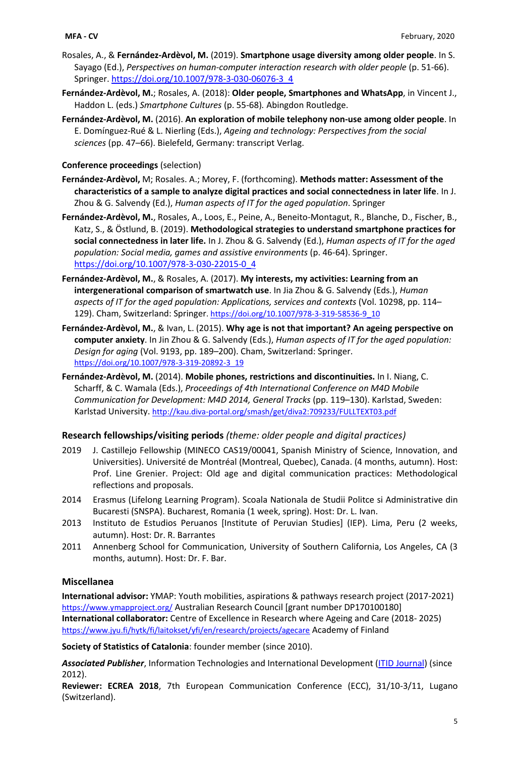- Rosales, A., & **Fernández-Ardèvol, M.** (2019). **Smartphone usage diversity among older people**. In S. Sayago (Ed.), *Perspectives on human-computer interaction research with older people* (p. 51-66). Springer. [https://doi.org/10.1007/978-3-030-06076-3\\_4](https://doi.org/10.1007/978-3-030-06076-3_4)
- **Fernández-Ardèvol, M.**; Rosales, A. (2018): **Older people, Smartphones and WhatsApp**, in Vincent J., Haddon L. (eds.) *Smartphone Cultures* (p. 55-68)*.* Abingdon Routledge.
- **Fernández-Ardèvol, M.** (2016). **An exploration of mobile telephony non-use among older people**. In E. Domínguez-Rué & L. Nierling (Eds.), *Ageing and technology: Perspectives from the social sciences* (pp. 47–66). Bielefeld, Germany: transcript Verlag.

# **Conference proceedings** (selection)

- **Fernández-Ardèvol,** M; Rosales. A.; Morey, F. (forthcoming). **Methods matter: Assessment of the characteristics of a sample to analyze digital practices and social connectedness in later life**. In J. Zhou & G. Salvendy (Ed.), *Human aspects of IT for the aged population*. Springer
- **Fernández-Ardèvol, M.**, Rosales, A., Loos, E., Peine, A., Beneito-Montagut, R., Blanche, D., Fischer, B., Katz, S., & Östlund, B. (2019). **Methodological strategies to understand smartphone practices for social connectedness in later life.** In J. Zhou & G. Salvendy (Ed.), *Human aspects of IT for the aged population: Social media, games and assistive environments* (p. 46-64). Springer. [https://doi.org/10.1007/978-3-030-22015-0\\_4](https://doi.org/10.1007/978-3-030-22015-0_4)
- **Fernández-Ardèvol, M.**, & Rosales, A. (2017). **My interests, my activities: Learning from an intergenerational comparison of smartwatch use**. In Jia Zhou & G. Salvendy (Eds.), *Human aspects of IT for the aged population: Applications, services and contexts* (Vol. 10298, pp. 114– 129). Cham, Switzerland: Springer. [https://doi.org/10.1007/978-3-319-58536-9\\_10](https://doi.org/10.1007/978-3-319-58536-9_10)
- **Fernández-Ardèvol, M.**, & Ivan, L. (2015). **Why age is not that important? An ageing perspective on computer anxiety**. In Jin Zhou & G. Salvendy (Eds.), *Human aspects of IT for the aged population: Design for aging* (Vol. 9193, pp. 189–200). Cham, Switzerland: Springer. [https://doi.org/10.1007/978-3-319-20892-3\\_19](https://doi.org/10.1007/978-3-319-20892-3_19)
- **Fernández-Ardèvol, M.** (2014). **Mobile phones, restrictions and discontinuities.** In I. Niang, C. Scharff, & C. Wamala (Eds.), *Proceedings of 4th International Conference on M4D Mobile Communication for Development: M4D 2014, General Tracks* (pp. 119–130). Karlstad, Sweden: Karlstad University. <http://kau.diva-portal.org/smash/get/diva2:709233/FULLTEXT03.pdf>

# **Research fellowships/visiting periods** *(theme: older people and digital practices)*

- 2019 J. Castillejo Fellowship (MINECO CAS19/00041, Spanish Ministry of Science, Innovation, and Universities). Université de Montréal (Montreal, Quebec), Canada. (4 months, autumn). Host: Prof. Line Grenier. Project: Old age and digital communication practices: Methodological reflections and proposals.
- 2014 Erasmus (Lifelong Learning Program). Scoala Nationala de Studii Politce si Administrative din Bucaresti (SNSPA). Bucharest, Romania (1 week, spring). Host: Dr. L. Ivan.
- 2013 Instituto de Estudios Peruanos [Institute of Peruvian Studies] (IEP). Lima, Peru (2 weeks, autumn). Host: Dr. R. Barrantes
- 2011 Annenberg School for Communication, University of Southern California, Los Angeles, CA (3 months, autumn). Host: Dr. F. Bar.

# **Miscellanea**

**International advisor:** YMAP: Youth mobilities, aspirations & pathways research project (2017-2021) <https://www.ymapproject.org/> Australian Research Council [grant number DP170100180] **International collaborator:** Centre of Excellence in Research where Ageing and Care (2018- 2025) <https://www.jyu.fi/hytk/fi/laitokset/yfi/en/research/projects/agecare> Academy of Finland

**Society of Statistics of Catalonia**: founder member (since 2010).

*Associated Publisher*, Information Technologies and International Development [\(ITID Journal\)](http://www.itidjournal.org/index.php/itid) (since 2012).

**Reviewer: ECREA 2018**, 7th European Communication Conference (ECC), 31/10-3/11, Lugano (Switzerland).